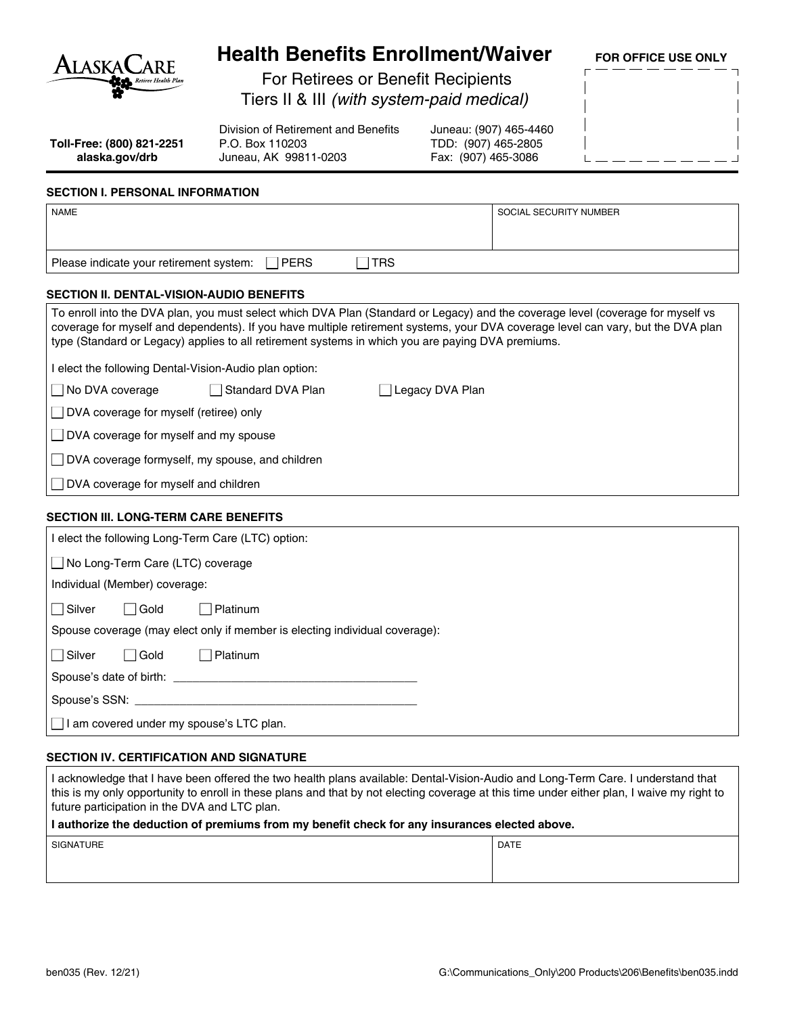

## **Health Benefits Enrollment/Waiver**

**FOR OFFICE USE ONLY**

For Retirees or Benefit Recipients

Tiers II & III *(with system-paid medical)*

**Toll-Free: (800) 821-2251 alaska.gov/drb**

Division of Retirement and Benefits P.O. Box 110203 Juneau, AK 99811-0203

Juneau: (907) 465-4460 TDD: (907) 465-2805 Fax: (907) 465-3086

### **SECTION I. PERSONAL INFORMATION**

| <b>NAME</b>                                                                                                                                                                                                                                                                                                                                                              | SOCIAL SECURITY NUMBER |  |  |  |  |
|--------------------------------------------------------------------------------------------------------------------------------------------------------------------------------------------------------------------------------------------------------------------------------------------------------------------------------------------------------------------------|------------------------|--|--|--|--|
|                                                                                                                                                                                                                                                                                                                                                                          |                        |  |  |  |  |
| <b>TRS</b><br><b>PERS</b><br>Please indicate your retirement system:<br>$\mathbf{I}$                                                                                                                                                                                                                                                                                     |                        |  |  |  |  |
|                                                                                                                                                                                                                                                                                                                                                                          |                        |  |  |  |  |
| <b>SECTION II. DENTAL-VISION-AUDIO BENEFITS</b>                                                                                                                                                                                                                                                                                                                          |                        |  |  |  |  |
| To enroll into the DVA plan, you must select which DVA Plan (Standard or Legacy) and the coverage level (coverage for myself vs<br>coverage for myself and dependents). If you have multiple retirement systems, your DVA coverage level can vary, but the DVA plan<br>type (Standard or Legacy) applies to all retirement systems in which you are paying DVA premiums. |                        |  |  |  |  |
| I elect the following Dental-Vision-Audio plan option:                                                                                                                                                                                                                                                                                                                   |                        |  |  |  |  |
| No DVA coverage<br>Standard DVA Plan<br>Legacy DVA Plan                                                                                                                                                                                                                                                                                                                  |                        |  |  |  |  |
| DVA coverage for myself (retiree) only                                                                                                                                                                                                                                                                                                                                   |                        |  |  |  |  |
| $\Box$ DVA coverage for myself and my spouse                                                                                                                                                                                                                                                                                                                             |                        |  |  |  |  |
| DVA coverage formyself, my spouse, and children                                                                                                                                                                                                                                                                                                                          |                        |  |  |  |  |
| DVA coverage for myself and children                                                                                                                                                                                                                                                                                                                                     |                        |  |  |  |  |
| <b>SECTION III. LONG-TERM CARE BENEFITS</b>                                                                                                                                                                                                                                                                                                                              |                        |  |  |  |  |
| I elect the following Long-Term Care (LTC) option:                                                                                                                                                                                                                                                                                                                       |                        |  |  |  |  |
| No Long-Term Care (LTC) coverage                                                                                                                                                                                                                                                                                                                                         |                        |  |  |  |  |
| Individual (Member) coverage:                                                                                                                                                                                                                                                                                                                                            |                        |  |  |  |  |
| $\Box$ Silver<br>$\Box$ Gold<br>Platinum                                                                                                                                                                                                                                                                                                                                 |                        |  |  |  |  |
| Spouse coverage (may elect only if member is electing individual coverage):                                                                                                                                                                                                                                                                                              |                        |  |  |  |  |
| Platinum<br>$\Box$ Silver<br>$\sqcap$ Gold                                                                                                                                                                                                                                                                                                                               |                        |  |  |  |  |
| Spouse's date of birth:                                                                                                                                                                                                                                                                                                                                                  |                        |  |  |  |  |

Spouse's SSN:

 $\Box$  I am covered under my spouse's LTC plan.

## **SECTION IV. CERTIFICATION AND SIGNATURE**

I acknowledge that I have been offered the two health plans available: Dental‑Vision‑Audio and Long-Term Care. I understand that this is my only opportunity to enroll in these plans and that by not electing coverage at this time under either plan, I waive my right to future participation in the DVA and LTC plan.

#### **I authorize the deduction of premiums from my benefit check for any insurances elected above.**

| <b>ATURE</b><br>$\sim$ | <b>DATE</b> |
|------------------------|-------------|
|                        |             |
|                        |             |